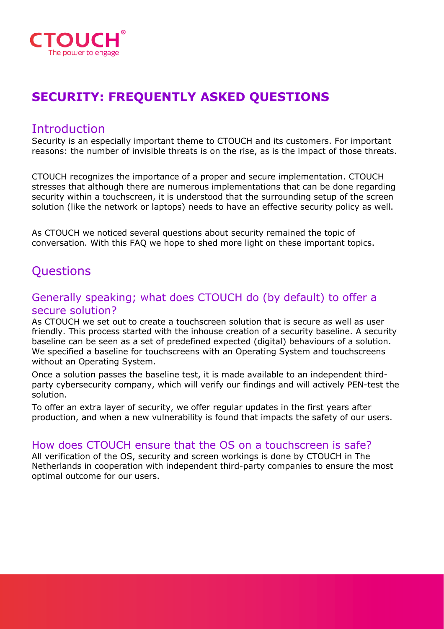

# **SECURITY: FREQUENTLY ASKED QUESTIONS**

## Introduction

Security is an especially important theme to CTOUCH and its customers. For important reasons: the number of invisible threats is on the rise, as is the impact of those threats.

CTOUCH recognizes the importance of a proper and secure implementation. CTOUCH stresses that although there are numerous implementations that can be done regarding security within a touchscreen, it is understood that the surrounding setup of the screen solution (like the network or laptops) needs to have an effective security policy as well.

As CTOUCH we noticed several questions about security remained the topic of conversation. With this FAQ we hope to shed more light on these important topics.

## **Questions**

#### Generally speaking; what does CTOUCH do (by default) to offer a secure solution?

As CTOUCH we set out to create a touchscreen solution that is secure as well as user friendly. This process started with the inhouse creation of a security baseline. A security baseline can be seen as a set of predefined expected (digital) behaviours of a solution. We specified a baseline for touchscreens with an Operating System and touchscreens without an Operating System.

Once a solution passes the baseline test, it is made available to an independent thirdparty cybersecurity company, which will verify our findings and will actively PEN-test the solution.

To offer an extra layer of security, we offer regular updates in the first years after production, and when a new vulnerability is found that impacts the safety of our users.

#### How does CTOUCH ensure that the OS on a touchscreen is safe?

All verification of the OS, security and screen workings is done by CTOUCH in The Netherlands in cooperation with independent third-party companies to ensure the most optimal outcome for our users.